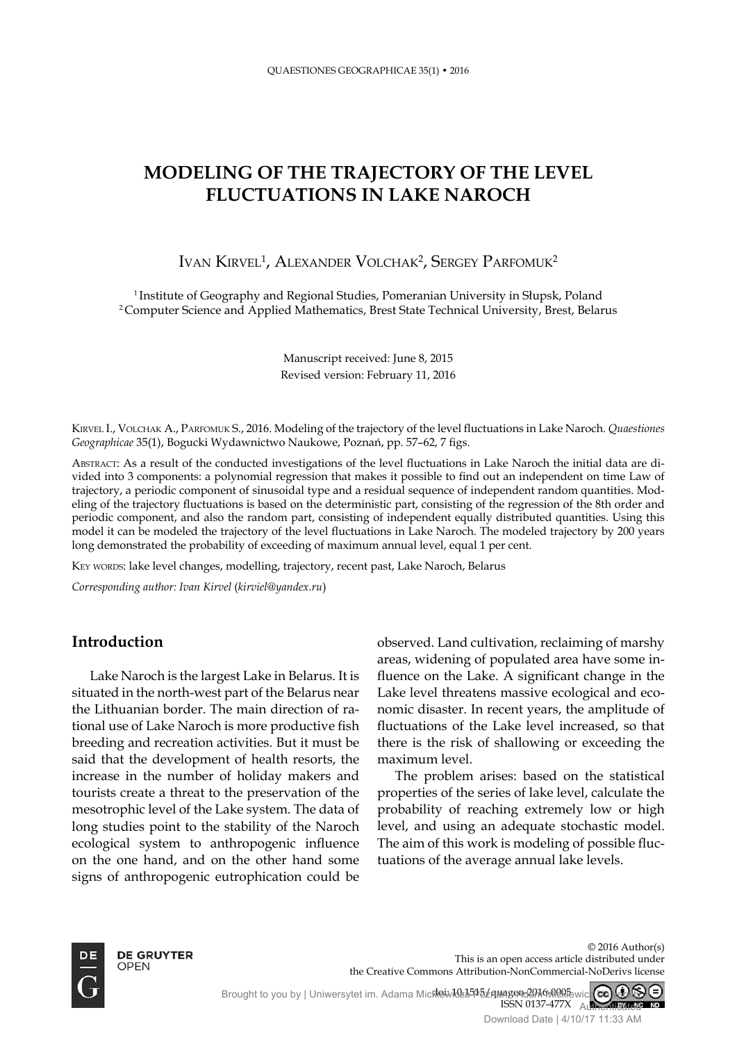# **MODELING OF THE TRAJECTORY OF THE LEVEL FLUCTUATIONS IN LAKE NAROCH**

# Ivan Kirvel<sup>1</sup>, Alexander Volchak<sup>2</sup>, Sergey Parfomuk<sup>2</sup>

<sup>1</sup> Institute of Geography and Regional Studies, Pomeranian University in Słupsk, Poland 2 Computer Science and Applied Mathematics, Brest State Technical University, Brest, Belarus

> Manuscript received: June 8, 2015 Revised version: February 11, 2016

KIRVEL I., VOLCHAK A., PARFOMUK S., 2016. Modeling of the trajectory of the level fluctuations in Lake Naroch. *Quaestiones* Geographicae 35(1), Bogucki Wydawnictwo Naukowe, Poznań, pp. 57-62, 7 figs.

ABSTRACT: As a result of the conducted investigations of the level fluctuations in Lake Naroch the initial data are divided into 3 components: a polynomial regression that makes it possible to find out an independent on time Law of trajectory, a periodic component of sinusoidal type and a residual sequence of independent random quantities. Modeling of the trajectory fluctuations is based on the deterministic part, consisting of the regression of the 8th order and periodic component, and also the random part, consisting of independent equally distributed quantities. Using this model it can be modeled the trajectory of the level fluctuations in Lake Naroch. The modeled trajectory by 200 years long demonstrated the probability of exceeding of maximum annual level, equal 1 per cent.

KEY WORDS: lake level changes, modelling, trajectory, recent past, Lake Naroch, Belarus

*Corresponding author: Ivan Kirvel* (*kirviel@yandex.ru*)

## **Introduction**

Lake Naroch is the largest Lake in Belarus. It is situated in the north-west part of the Belarus near the lithuanian border. The main direction of rational use of Lake Naroch is more productive fish breeding and recreation activities. But it must be said that the development of health resorts, the increase in the number of holiday makers and tourists create a threat to the preservation of the mesotrophic level of the lake system. The data of long studies point to the stability of the Naroch ecological system to anthropogenic influence on the one hand, and on the other hand some signs of anthropogenic eutrophication could be

observed. land cultivation, reclaiming of marshy areas, widening of populated area have some influence on the Lake. A significant change in the Lake level threatens massive ecological and economic disaster. In recent years, the amplitude of fluctuations of the Lake level increased, so that there is the risk of shallowing or exceeding the maximum level.

The problem arises: based on the statistical properties of the series of lake level, calculate the probability of reaching extremely low or high level, and using an adequate stochastic model. The aim of this work is modeling of possible fluctuations of the average annual lake levels.



© 2016 Author(s) This is an open access article distributed under the Creative Commons Attribution-NonCommercial-NoDerivs license

doi: 10.1515/ quageo-2016-0005 ISSn 0137-477x Brought to you by | Uniwersytet im. Adama Micklewicza Poznanegoda Mokkewicz CC) GAN Authenticated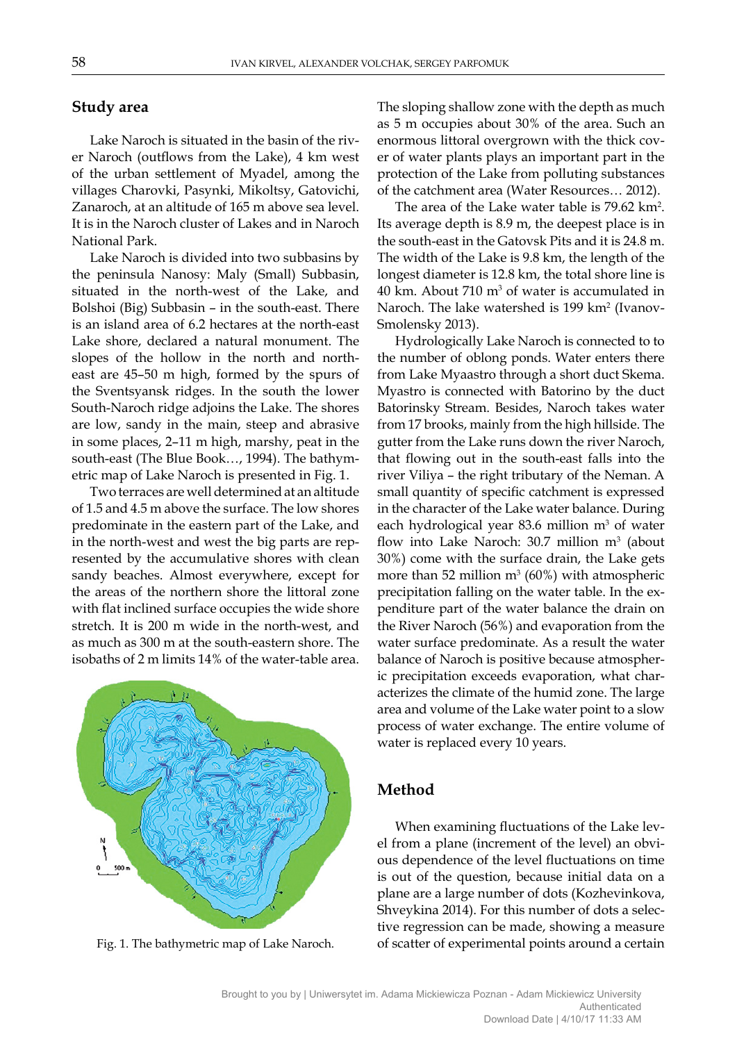## **Study area**

Lake Naroch is situated in the basin of the river Naroch (outflows from the Lake), 4 km west of the urban settlement of Myadel, among the villages Charovki, Pasynki, Mikoltsy, Gatovichi, Zanaroch, at an altitude of 165 m above sea level. It is in the Naroch cluster of Lakes and in Naroch National Park.

Lake Naroch is divided into two subbasins by the peninsula Nanosy: Maly (Small) Subbasin, situated in the north-west of the Lake, and Bolshoi (Big) Subbasin – in the south-east. There is an island area of 6.2 hectares at the north-east Lake shore, declared a natural monument. The slopes of the hollow in the north and northeast are 45–50 m high, formed by the spurs of the Sventsyansk ridges. In the south the lower South-Naroch ridge adjoins the Lake. The shores are low, sandy in the main, steep and abrasive in some places, 2–11 m high, marshy, peat in the south-east (The Blue Book…, 1994). The bathymetric map of Lake Naroch is presented in Fig. 1.

Two terraces are well determined at an altitude of 1.5 and 4.5 m above the surface. The low shores predominate in the eastern part of the Lake, and in the north-west and west the big parts are represented by the accumulative shores with clean sandy beaches. Almost everywhere, except for the areas of the northern shore the littoral zone with flat inclined surface occupies the wide shore stretch. It is 200 m wide in the north-west, and as much as 300 m at the south-eastern shore. The isobaths of 2 m limits 14% of the water-table area.



The sloping shallow zone with the depth as much as 5 m occupies about 30% of the area. Such an enormous littoral overgrown with the thick cover of water plants plays an important part in the protection of the Lake from polluting substances of the catchment area (Water Resources… 2012).

The area of the Lake water table is  $79.62 \text{ km}^2$ . Its average depth is 8.9 m, the deepest place is in the south-east in the Gatovsk Pits and it is 24.8 m. The width of the Lake is 9.8 km, the length of the longest diameter is 12.8 km, the total shore line is  $40 \text{ km}$ . About  $710 \text{ m}^3$  of water is accumulated in Naroch. The lake watershed is 199 km² (Ivanov-Smolensky 2013).

Hydrologically Lake Naroch is connected to to the number of oblong ponds. Water enters there from Lake Myaastro through a short duct Skema. Myastro is connected with Batorino by the duct Batorinsky Stream. Besides, Naroch takes water from 17 brooks, mainly from the high hillside. The gutter from the Lake runs down the river Naroch, that flowing out in the south-east falls into the river Viliya – the right tributary of the Neman. A small quantity of specific catchment is expressed in the character of the Lake water balance. During each hydrological year 83.6 million  $m<sup>3</sup>$  of water flow into Lake Naroch:  $30.7$  million m<sup>3</sup> (about 30%) come with the surface drain, the Lake gets more than 52 million  $m^3$  (60%) with atmospheric precipitation falling on the water table. In the expenditure part of the water balance the drain on the River Naroch (56%) and evaporation from the water surface predominate. As a result the water balance of Naroch is positive because atmospheric precipitation exceeds evaporation, what characterizes the climate of the humid zone. The large area and volume of the Lake water point to a slow process of water exchange. The entire volume of water is replaced every 10 years.

# **Method**

When examining fluctuations of the Lake level from a plane (increment of the level) an obvious dependence of the level fluctuations on time is out of the question, because initial data on a plane are a large number of dots (Kozhevinkova, Shveykina 2014). For this number of dots a selective regression can be made, showing a measure Fig. 1. The bathymetric map of Lake Naroch. of scatter of experimental points around a certain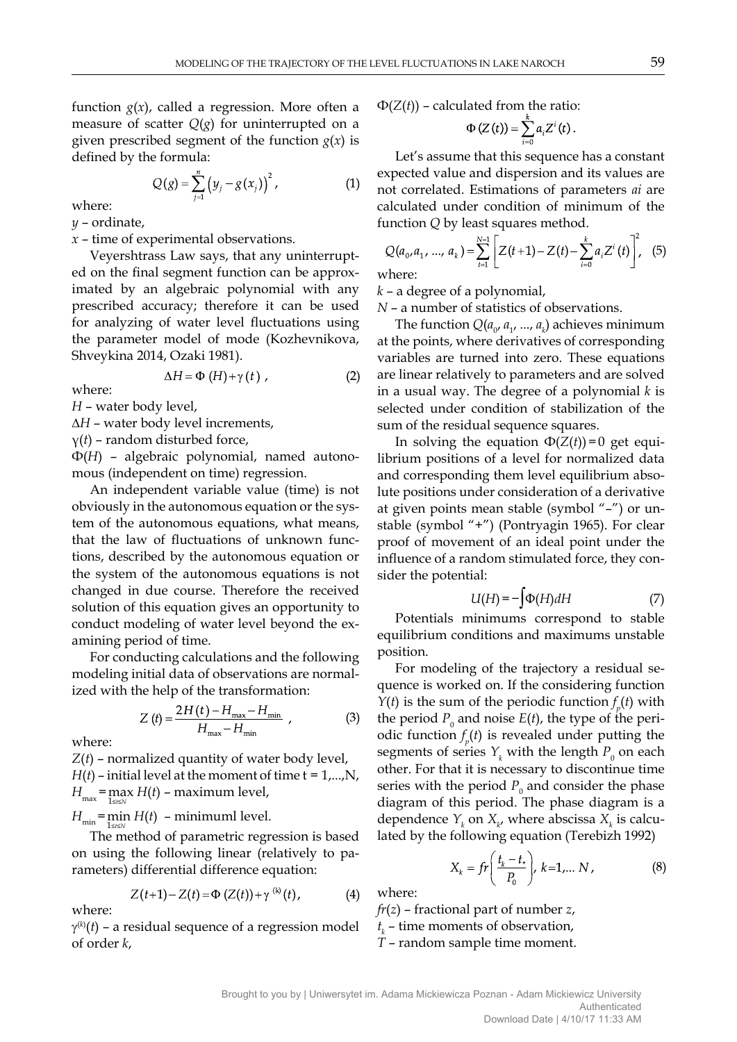function  $g(x)$ , called a regression. More often a measure of scatter  $Q(g)$  for uninterrupted on a given prescribed segment of the function  $g(x)$  is defined by the formula:

$$
Q(g) = \sum_{j=1}^{n} (y_j - g(x_j))^2, \qquad (1)
$$

where:

*y* – ordinate,

*x* – time of experimental observations.

Veyershtrass Law says, that any uninterrupted on the final segment function can be approximated by an algebraic polynomial with any prescribed accuracy; therefore it can be used for analyzing of water level fluctuations using the parameter model of mode (Kozhevnikova, Shveykina 2014, Ozaki 1981).

$$
\Delta H = \Phi \left( H \right) + \gamma \left( t \right) , \tag{2}
$$

where:

*H* – water body level,

∆*H* – water body level increments,

γ(*t*) – random disturbed force,

Ф(*H*) – algebraic polynomial, named autonomous (independent on time) regression.

An independent variable value (time) is not obviously in the autonomous equation or the system of the autonomous equations, what means, that the law of fluctuations of unknown functions, described by the autonomous equation or the system of the autonomous equations is not changed in due course. Therefore the received solution of this equation gives an opportunity to conduct modeling of water level beyond the examining period of time.

For conducting calculations and the following modeling initial data of observations are normalized with the help of the transformation:

$$
Z(t) = \frac{2H(t) - H_{\text{max}} - H_{\text{min}}}{H_{\text{max}} - H_{\text{min}}},
$$
 (3)

where:

where:

*Z*(*t*) – normalized quantity of water body level,  $H(t)$  – initial level at the moment of time  $t = 1,...,N$ ,  $H_{\text{max}} = \max_{1 \leq t \leq N} H(t)$  – maximum level,

 $H_{\min}$ = $\min_{1 \leq t \leq N} H(t)$  – minimuml level.

The method of parametric regression is based on using the following linear (relatively to parameters) differential difference equation:

$$
Z(t+1) - Z(t) = \Phi(Z(t)) + \gamma^{(k)}(t), \tag{4}
$$

 $\gamma^{(k)}(t)$  – a residual sequence of a regression model of order *k*,

 $\Phi(Z(t))$  – calculated from the ratio:

$$
\Phi\left(Z\left(t\right)\right)=\sum_{i=0}^{k}a_{i}Z^{i}\left(t\right)
$$

Let's assume that this sequence has a constant expected value and dispersion and its values are not correlated. Estimations of parameters *ai* are calculated under condition of minimum of the function *Q* by least squares method.

$$
Q(a_0, a_1, ..., a_k) = \sum_{t=1}^{N-1} \left[ Z(t+1) - Z(t) - \sum_{i=0}^{k} a_i Z^{i}(t) \right]^2, \quad (5)
$$

where:

*k* – a degree of a polynomial,

*N* – a number of statistics of observations.

The function  $Q(a_{0}, a_{1}, ..., a_{k})$  achieves minimum at the points, where derivatives of corresponding variables are turned into zero. These equations are linear relatively to parameters and are solved in a usual way. The degree of a polynomial *k* is selected under condition of stabilization of the sum of the residual sequence squares.

In solving the equation  $\Phi(Z(t))=0$  get equilibrium positions of a level for normalized data and corresponding them level equilibrium absolute positions under consideration of a derivative at given points mean stable (symbol "–") or unstable (symbol "+") (Pontryagin 1965). For clear proof of movement of an ideal point under the influence of a random stimulated force, they consider the potential:

$$
U(H) = -\int \Phi(H) dH \tag{7}
$$

Potentials minimums correspond to stable equilibrium conditions and maximums unstable position.

For modeling of the trajectory a residual sequence is worked on. If the considering function *Y*(*t*) is the sum of the periodic function  $f_p(t)$  with the period  $P_0$  and noise  $E(t)$ , the type of the periodic function  $f_p(t)$  is revealed under putting the segments of series  $Y_k$  with the length  $P_0$  on each other. For that it is necessary to discontinue time series with the period  $P_0$  and consider the phase diagram of this period. The phase diagram is a dependence  $Y_k$  on  $X_{k'}$  where abscissa  $X_k$  is calculated by the following equation (Terebizh 1992)

$$
X_k = fr\left(\frac{t_k - t_*}{P_0}\right), \ k = 1, \dots N \,, \tag{8}
$$

where:

*fr*(*z*) – fractional part of number *z*,  $t_k$  – time moments of observation,

*T* – random sample time moment.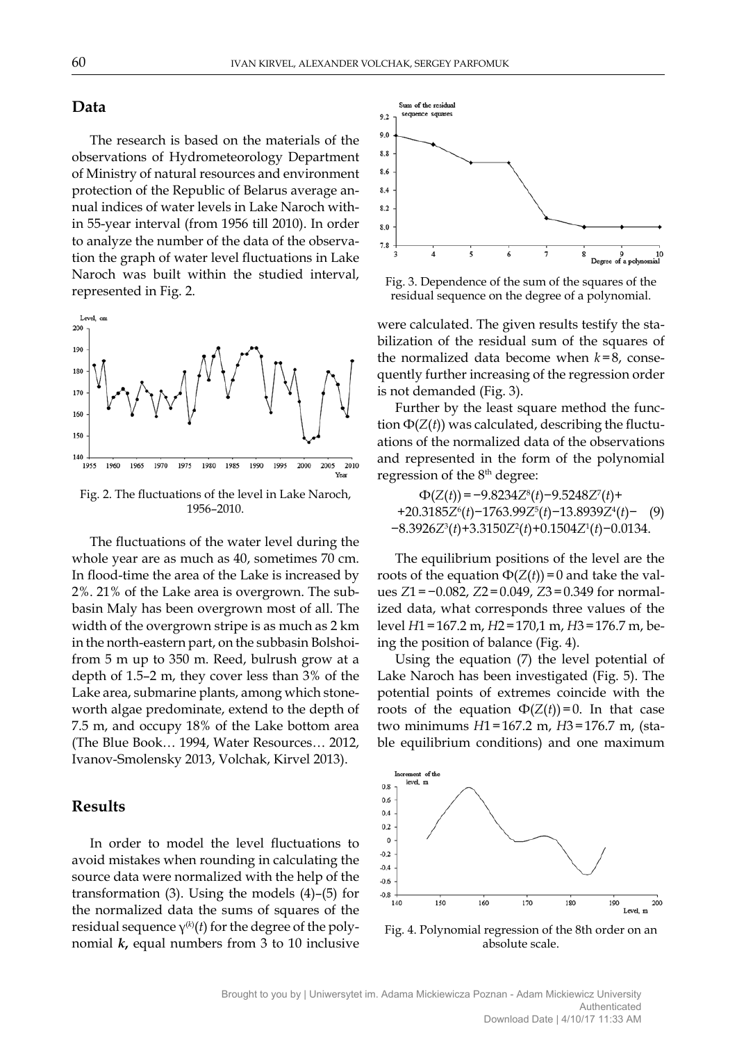### **Data**

The research is based on the materials of the observations of Hydrometeorology Department of Ministry of natural resources and environment protection of the Republic of Belarus average annual indices of water levels in Lake Naroch within 55-year interval (from 1956 till 2010). In order to analyze the number of the data of the observation the graph of water level fluctuations in Lake Naroch was built within the studied interval, represented in Fig. 2.



Fig. 2. The fluctuations of the level in Lake Naroch, 1956–2010.

The fluctuations of the water level during the whole year are as much as 40, sometimes 70 cm. In flood-time the area of the Lake is increased by 2%. 21% of the Lake area is overgrown. The subbasin Maly has been overgrown most of all. The width of the overgrown stripe is as much as 2 km in the north-eastern part, on the subbasin Bolshoifrom 5 m up to 350 m. Reed, bulrush grow at a depth of 1.5–2 m, they cover less than 3% of the Lake area, submarine plants, among which stoneworth algae predominate, extend to the depth of 7.5 m, and occupy 18% of the Lake bottom area (The Blue Book… 1994, Water Resources… 2012, Ivanov-Smolensky 2013, Volchak, Kirvel 2013).

#### **Results**

In order to model the level fluctuations to avoid mistakes when rounding in calculating the source data were normalized with the help of the transformation (3). Using the models (4)–(5) for the normalized data the sums of squares of the residual sequence γ(*k*) (*t*) for the degree of the polynomial *k***,** equal numbers from 3 to 10 inclusive



Fig. 3. Dependence of the sum of the squares of the residual sequence on the degree of a polynomial.

were calculated. The given results testify the stabilization of the residual sum of the squares of the normalized data become when *k*=8, consequently further increasing of the regression order is not demanded (Fig. 3).

Further by the least square method the function  $\Phi(Z(t))$  was calculated, describing the fluctuations of the normalized data of the observations and represented in the form of the polynomial regression of the 8<sup>th</sup> degree:

Ф(*Z*(*t*))=−9.8234*Z*<sup>8</sup> (*t*)−9.5248*Z*<sup>7</sup> (*t*)+ +20.3185*Z*<sup>6</sup> (*t*)−1763.99*Z*<sup>5</sup> (*t*)−13.8939*Z*<sup>4</sup> (*t*)− (9) −8.3926*Z*<sup>3</sup> (*t*)+3.3150*Z*<sup>2</sup> (*t*)+0.1504*Z*<sup>1</sup> (*t*)−0.0134.

The equilibrium positions of the level are the roots of the equation  $\Phi(Z(t))=0$  and take the values *Z*1=−0.082, *Z*2=0.049, *Z*3=0.349 for normalized data, what corresponds three values of the level *H*1=167.2 m, *H*2=170,1 m, *H*3=176.7 m, being the position of balance (Fig. 4).

Using the equation (7) the level potential of Lake Naroch has been investigated (Fig. 5). The potential points of extremes coincide with the roots of the equation  $\Phi(Z(t))=0$ . In that case two minimums *H*1=167.2 m, *H*3=176.7 m, (stable equilibrium conditions) and one maximum



Fig. 4. Polynomial regression of the 8th order on an absolute scale.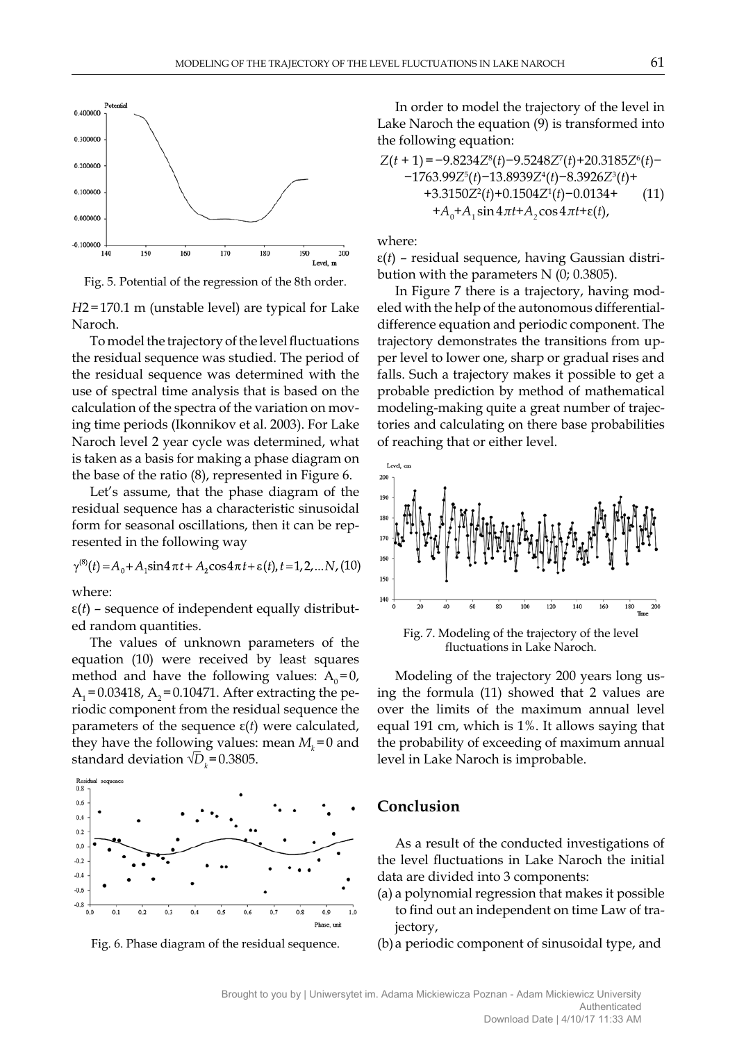

Fig. 5. Potential of the regression of the 8th order.

*H*2=170.1 m (unstable level) are typical for Lake Naroch.

To model the trajectory of the level fluctuations the residual sequence was studied. The period of the residual sequence was determined with the use of spectral time analysis that is based on the calculation of the spectra of the variation on moving time periods (Ikonnikov et al. 2003). For Lake Naroch level 2 year cycle was determined, what is taken as a basis for making a phase diagram on the base of the ratio (8), represented in Figure 6.

Let's assume, that the phase diagram of the residual sequence has a characteristic sinusoidal form for seasonal oscillations, then it can be represented in the following way

$$
\gamma^{(8)}(t) = A_0 + A_1 \sin 4 \pi t + A_2 \cos 4 \pi t + \varepsilon(t), t = 1, 2, \dots N, (10)
$$

where:

ε(*t*) – sequence of independent equally distributed random quantities.

The values of unknown parameters of the equation (10) were received by least squares method and have the following values:  $A_0=0$ ,  $A_1$  = 0.03418,  $A_2$  = 0.10471. After extracting the periodic component from the residual sequence the parameters of the sequence ε(*t*) were calculated, they have the following values: mean  $M_k = 0$  and standard deviation  $\sqrt{D_k}$ =0.3805.





In order to model the trajectory of the level in Lake Naroch the equation (9) is transformed into the following equation:

$$
Z(t+1) = -9.8234Z^{8}(t) - 9.5248Z'(t) + 20.3185Z^{6}(t) - 1763.99Z^{5}(t) - 13.8939Z^{4}(t) - 8.3926Z^{3}(t) + 3.3150Z^{2}(t) + 0.1504Z^{1}(t) - 0.0134 + 4_{0} + A_{1} \sin 4\pi t + A_{2} \cos 4\pi t + \varepsilon(t),
$$
\n(11)

where:

ε(*t*) – residual sequence, having Gaussian distribution with the parameters N (0; 0.3805).

In Figure 7 there is a trajectory, having modeled with the help of the autonomous differentialdifference equation and periodic component. The trajectory demonstrates the transitions from upper level to lower one, sharp or gradual rises and falls. Such a trajectory makes it possible to get a probable prediction by method of mathematical modeling-making quite a great number of trajectories and calculating on there base probabilities of reaching that or either level.



Fig. 7. Modeling of the trajectory of the level fluctuations in Lake Naroch.

Modeling of the trajectory 200 years long using the formula (11) showed that 2 values are over the limits of the maximum annual level equal 191 cm, which is 1%. It allows saying that the probability of exceeding of maximum annual level in Lake Naroch is improbable.

#### **Conclusion**

As a result of the conducted investigations of the level fluctuations in Lake Naroch the initial data are divided into 3 components:

(a) a polynomial regression that makes it possible to find out an independent on time Law of trajectory,

(b) a periodic component of sinusoidal type, and